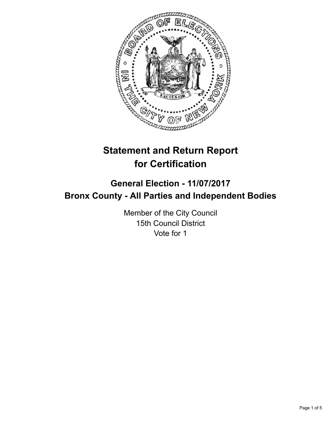

# **Statement and Return Report for Certification**

# **General Election - 11/07/2017 Bronx County - All Parties and Independent Bodies**

Member of the City Council 15th Council District Vote for 1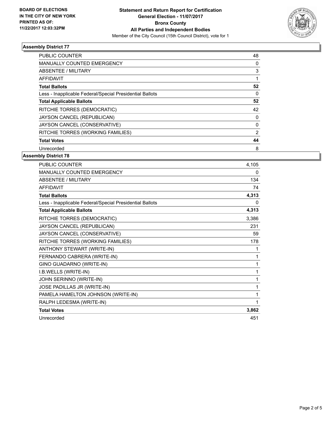

# **Assembly District 77**

| <b>PUBLIC COUNTER</b>                                    | 48       |
|----------------------------------------------------------|----------|
| <b>MANUALLY COUNTED EMERGENCY</b>                        | 0        |
| ABSENTEE / MILITARY                                      | 3        |
| AFFIDAVIT                                                |          |
| <b>Total Ballots</b>                                     | 52       |
| Less - Inapplicable Federal/Special Presidential Ballots | $\Omega$ |
| <b>Total Applicable Ballots</b>                          | 52       |
| RITCHIE TORRES (DEMOCRATIC)                              | 42       |
| JAYSON CANCEL (REPUBLICAN)                               | 0        |
| JAYSON CANCEL (CONSERVATIVE)                             | 0        |
| RITCHIE TORRES (WORKING FAMILIES)                        | 2        |
| <b>Total Votes</b>                                       | 44       |
| Unrecorded                                               | 8        |

#### **Assembly District 78**

| PUBLIC COUNTER                                           | 4,105 |
|----------------------------------------------------------|-------|
| <b>MANUALLY COUNTED EMERGENCY</b>                        | 0     |
| <b>ABSENTEE / MILITARY</b>                               | 134   |
| <b>AFFIDAVIT</b>                                         | 74    |
| <b>Total Ballots</b>                                     | 4,313 |
| Less - Inapplicable Federal/Special Presidential Ballots | 0     |
| <b>Total Applicable Ballots</b>                          | 4,313 |
| RITCHIE TORRES (DEMOCRATIC)                              | 3,386 |
| JAYSON CANCEL (REPUBLICAN)                               | 231   |
| JAYSON CANCEL (CONSERVATIVE)                             | 59    |
| RITCHIE TORRES (WORKING FAMILIES)                        | 178   |
| ANTHONY STEWART (WRITE-IN)                               | 1     |
| FERNANDO CABRERA (WRITE-IN)                              | 1     |
| GINO GUADARNO (WRITE-IN)                                 | 1     |
| I.B.WELLS (WRITE-IN)                                     | 1     |
| JOHN SERINNO (WRITE-IN)                                  | 1     |
| JOSE PADILLAS JR (WRITE-IN)                              | 1     |
| PAMELA HAMELTON JOHNSON (WRITE-IN)                       | 1     |
| RALPH LEDESMA (WRITE-IN)                                 | 1     |
| <b>Total Votes</b>                                       | 3,862 |
| Unrecorded                                               | 451   |
|                                                          |       |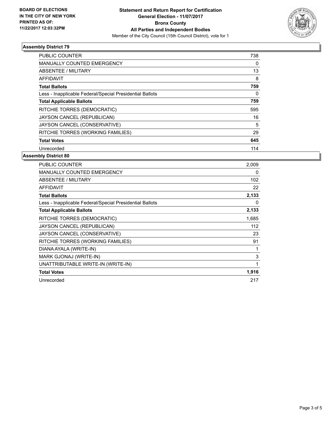

# **Assembly District 79**

| <b>PUBLIC COUNTER</b>                                    | 738 |
|----------------------------------------------------------|-----|
| <b>MANUALLY COUNTED EMERGENCY</b>                        | 0   |
| ABSENTEE / MILITARY                                      | 13  |
| AFFIDAVIT                                                | 8   |
| <b>Total Ballots</b>                                     | 759 |
| Less - Inapplicable Federal/Special Presidential Ballots | 0   |
| <b>Total Applicable Ballots</b>                          | 759 |
| RITCHIE TORRES (DEMOCRATIC)                              | 595 |
| JAYSON CANCEL (REPUBLICAN)                               | 16  |
| JAYSON CANCEL (CONSERVATIVE)                             | 5   |
| RITCHIE TORRES (WORKING FAMILIES)                        | 29  |
| <b>Total Votes</b>                                       | 645 |
| Unrecorded                                               | 114 |

#### **Assembly District 80**

| <b>PUBLIC COUNTER</b>                                    | 2,009 |
|----------------------------------------------------------|-------|
| <b>MANUALLY COUNTED EMERGENCY</b>                        | 0     |
| ABSENTEE / MILITARY                                      | 102   |
| <b>AFFIDAVIT</b>                                         | 22    |
| <b>Total Ballots</b>                                     | 2,133 |
| Less - Inapplicable Federal/Special Presidential Ballots | 0     |
| <b>Total Applicable Ballots</b>                          | 2,133 |
| RITCHIE TORRES (DEMOCRATIC)                              | 1,685 |
| JAYSON CANCEL (REPUBLICAN)                               | 112   |
| JAYSON CANCEL (CONSERVATIVE)                             | 23    |
| RITCHIE TORRES (WORKING FAMILIES)                        | 91    |
| DIANA AYALA (WRITE-IN)                                   | 1     |
| MARK GJONAJ (WRITE-IN)                                   | 3     |
| UNATTRIBUTABLE WRITE-IN (WRITE-IN)                       | 1     |
| <b>Total Votes</b>                                       | 1,916 |
| Unrecorded                                               | 217   |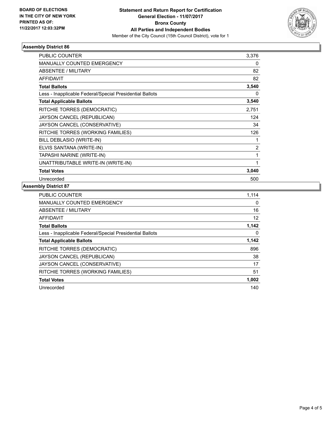

# **Assembly District 86**

| <b>PUBLIC COUNTER</b>                                    | 3,376 |
|----------------------------------------------------------|-------|
| <b>MANUALLY COUNTED EMERGENCY</b>                        | 0     |
| <b>ABSENTEE / MILITARY</b>                               | 82    |
| <b>AFFIDAVIT</b>                                         | 82    |
| <b>Total Ballots</b>                                     | 3,540 |
| Less - Inapplicable Federal/Special Presidential Ballots | 0     |
| <b>Total Applicable Ballots</b>                          | 3,540 |
| RITCHIE TORRES (DEMOCRATIC)                              | 2,751 |
| JAYSON CANCEL (REPUBLICAN)                               | 124   |
| JAYSON CANCEL (CONSERVATIVE)                             | 34    |
| RITCHIE TORRES (WORKING FAMILIES)                        | 126   |
| BILL DEBLASIO (WRITE-IN)                                 | 1     |
| ELVIS SANTANA (WRITE-IN)                                 | 2     |
| TAPASHI NARINE (WRITE-IN)                                | 1     |
| UNATTRIBUTABLE WRITE-IN (WRITE-IN)                       | 1     |
| <b>Total Votes</b>                                       | 3,040 |
| Unrecorded                                               | 500   |

#### **Assembly District 87**

| <b>PUBLIC COUNTER</b>                                    | 1,114 |
|----------------------------------------------------------|-------|
| <b>MANUALLY COUNTED EMERGENCY</b>                        | 0     |
| ABSENTEE / MILITARY                                      | 16    |
| <b>AFFIDAVIT</b>                                         | 12    |
| <b>Total Ballots</b>                                     | 1,142 |
| Less - Inapplicable Federal/Special Presidential Ballots | 0     |
| <b>Total Applicable Ballots</b>                          | 1,142 |
| RITCHIE TORRES (DEMOCRATIC)                              | 896   |
| JAYSON CANCEL (REPUBLICAN)                               | 38    |
| JAYSON CANCEL (CONSERVATIVE)                             | 17    |
| RITCHIE TORRES (WORKING FAMILIES)                        | 51    |
| <b>Total Votes</b>                                       | 1,002 |
| Unrecorded                                               | 140   |